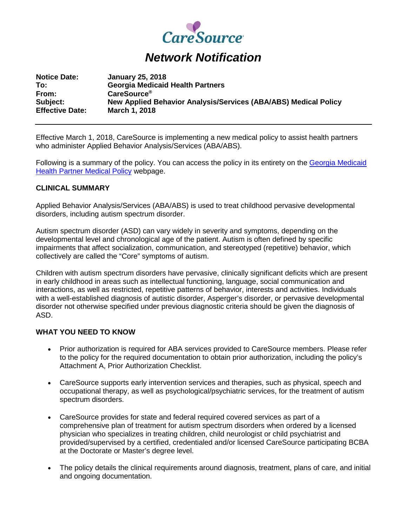

## *Network Notification*

| <b>Notice Date:</b>    | <b>January 25, 2018</b>                                                |
|------------------------|------------------------------------------------------------------------|
| To:                    | <b>Georgia Medicaid Health Partners</b>                                |
| From:                  | CareSource <sup>®</sup>                                                |
| Subject:               | <b>New Applied Behavior Analysis/Services (ABA/ABS) Medical Policy</b> |
| <b>Effective Date:</b> | <b>March 1, 2018</b>                                                   |

Effective March 1, 2018, CareSource is implementing a new medical policy to assist health partners who administer Applied Behavior Analysis/Services (ABA/ABS).

Following is a summary of the policy. You can access the policy in its entirety on the [Georgia Medicaid](https://www.caresource.com/providers/georgia/medicaid/medical-policies/)  [Health Partner Medical Policy](https://www.caresource.com/providers/georgia/medicaid/medical-policies/) webpage.

## **CLINICAL SUMMARY**

Applied Behavior Analysis/Services (ABA/ABS) is used to treat childhood pervasive developmental disorders, including autism spectrum disorder.

Autism spectrum disorder (ASD) can vary widely in severity and symptoms, depending on the developmental level and chronological age of the patient. Autism is often defined by specific impairments that affect socialization, communication, and stereotyped (repetitive) behavior, which collectively are called the "Core" symptoms of autism.

Children with autism spectrum disorders have pervasive, clinically significant deficits which are present in early childhood in areas such as intellectual functioning, language, social communication and interactions, as well as restricted, repetitive patterns of behavior, interests and activities. Individuals with a well-established diagnosis of autistic disorder, Asperger's disorder, or pervasive developmental disorder not otherwise specified under previous diagnostic criteria should be given the diagnosis of ASD.

## **WHAT YOU NEED TO KNOW**

- Prior authorization is required for ABA services provided to CareSource members. Please refer to the policy for the required documentation to obtain prior authorization, including the policy's Attachment A, Prior Authorization Checklist.
- CareSource supports early intervention services and therapies, such as physical, speech and occupational therapy, as well as psychological/psychiatric services, for the treatment of autism spectrum disorders.
- CareSource provides for state and federal required covered services as part of a comprehensive plan of treatment for autism spectrum disorders when ordered by a licensed physician who specializes in treating children, child neurologist or child psychiatrist and provided/supervised by a certified, credentialed and/or licensed CareSource participating BCBA at the Doctorate or Master's degree level.
- The policy details the clinical requirements around diagnosis, treatment, plans of care, and initial and ongoing documentation.